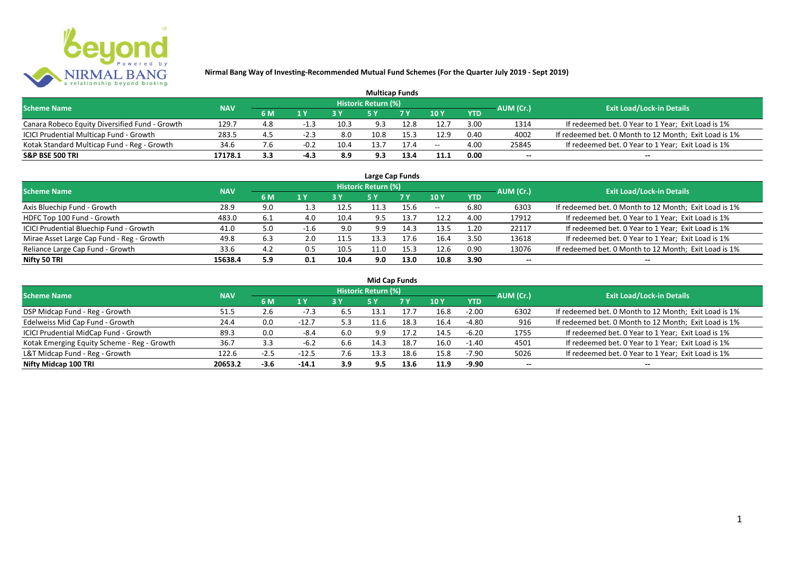

|                                                |            |                |        |      | <b>Multicap Funds</b> |      |               |            |           |                                                       |
|------------------------------------------------|------------|----------------|--------|------|-----------------------|------|---------------|------------|-----------|-------------------------------------------------------|
| <b>Scheme Name</b>                             | <b>NAV</b> |                |        |      | Historic Return (%)   |      |               |            | AUM (Cr.) | <b>Exit Load/Lock-in Details</b>                      |
|                                                |            | 6 M            | 1 Y    |      |                       | 7Y   | $\sqrt{10}$ Y | <b>YTD</b> |           |                                                       |
| Canara Robeco Equity Diversified Fund - Growth | 129.7      | 4.8            |        | 10.3 | 9.3                   | 12.8 | 12.7          | 3.00       | 1314      | If redeemed bet. 0 Year to 1 Year; Exit Load is 1%    |
| ICICI Prudential Multicap Fund - Growth        | 283.5      | 4.5            | $-2.3$ | 8.0  | 10.8                  | 15.3 | 12.9          | 0.40       | 4002      | If redeemed bet. 0 Month to 12 Month; Exit Load is 1% |
| Kotak Standard Multicap Fund - Reg - Growth    | 34.6       | $^{\prime}$ .6 | $-0.2$ | 10.4 |                       | 17.4 | $- -$         | 4.00       | 25845     | If redeemed bet. 0 Year to 1 Year; Exit Load is 1%    |
| <b>S&amp;P BSE 500 TRI</b>                     | 17178.1    | 3.3            |        | 8.9  | 9.3                   | 13.4 | 11.1          | 0.00       | $-$       | $- -$                                                 |

| Large Cap Funds                           |            |     |                  |      |                            |      |            |            |                          |                                                       |  |  |  |
|-------------------------------------------|------------|-----|------------------|------|----------------------------|------|------------|------------|--------------------------|-------------------------------------------------------|--|--|--|
| <b>Scheme Name</b>                        | <b>NAV</b> |     |                  |      | <b>Historic Return (%)</b> |      |            |            | AUM (Cr.)                | <b>Exit Load/Lock-in Details</b>                      |  |  |  |
|                                           |            | 6 M | $\overline{1}$ Y |      | <b>5Y</b>                  | 7Y   | 10Y        | <b>YTD</b> |                          |                                                       |  |  |  |
| Axis Bluechip Fund - Growth               | 28.9       | 9.0 | 1.3              | 12.5 | 11.3                       | 15.6 | $\sim$ $-$ | 6.80       | 6303                     | If redeemed bet. 0 Month to 12 Month; Exit Load is 1% |  |  |  |
| HDFC Top 100 Fund - Growth                | 483.0      | 6.1 | 4.0              | 10.4 | 9.5                        | 13.7 | 12.2       | 4.00       | 17912                    | If redeemed bet. 0 Year to 1 Year; Exit Load is 1%    |  |  |  |
| ICICI Prudential Bluechip Fund - Growth   | 41.0       | 5.0 | $-1.6$           | 9.0  | 9.9                        | 14.3 | 13.5       | 1.20       | 22117                    | If redeemed bet. 0 Year to 1 Year; Exit Load is 1%    |  |  |  |
| Mirae Asset Large Cap Fund - Reg - Growth | 49.8       | 6.3 | 2.0              | 11.5 | 13.3                       | 17.6 | 16.4       | 3.50       | 13618                    | If redeemed bet. 0 Year to 1 Year; Exit Load is 1%    |  |  |  |
| Reliance Large Cap Fund - Growth          | 33.6       | 4.2 | 0.5              | 10.5 | 11.0                       | 15.3 | 12.6       | 0.90       | 13076                    | If redeemed bet. 0 Month to 12 Month; Exit Load is 1% |  |  |  |
| Nifty 50 TRI                              | 15638.4    | 5.9 | 0.1              | 10.4 | 9.0                        | 13.0 | 10.8       | 3.90       | $\overline{\phantom{a}}$ | $- -$                                                 |  |  |  |

| <b>Mid Cap Funds</b>                        |            |        |         |       |                            |      |      |            |           |                                                       |  |  |  |  |
|---------------------------------------------|------------|--------|---------|-------|----------------------------|------|------|------------|-----------|-------------------------------------------------------|--|--|--|--|
| <b>Scheme Name</b>                          | <b>NAV</b> |        |         |       | <b>Historic Return (%)</b> |      |      |            | AUM (Cr.) | <b>Exit Load/Lock-in Details</b>                      |  |  |  |  |
|                                             |            | 6 M    | 1 Y     | 73 Y. |                            | 7 Y  | 10Y  | <b>YTD</b> |           |                                                       |  |  |  |  |
| DSP Midcap Fund - Reg - Growth              | 51.5       | 2.6    | $-7.3$  | 6.5   | 13.1                       | 17.7 | 16.8 | $-2.00$    | 6302      | If redeemed bet. 0 Month to 12 Month; Exit Load is 1% |  |  |  |  |
| Edelweiss Mid Cap Fund - Growth             | 24.4       | 0.0    | $-12.7$ | 5.3   | 11.6                       | 18.3 | 16.4 | -4.80      | 916       | If redeemed bet. 0 Month to 12 Month; Exit Load is 1% |  |  |  |  |
| ICICI Prudential MidCap Fund - Growth       | 89.3       | 0.0    | -8.4    | 6.0   | 9.9                        | 17.7 | 14.5 | $-6.20$    | 1755      | If redeemed bet. 0 Year to 1 Year; Exit Load is 1%    |  |  |  |  |
| Kotak Emerging Equity Scheme - Reg - Growth | 36.7       | 3.3    | -6.2    | 6.6   | 14.3                       | 18.7 | 16.0 | $-1.40$    | 4501      | If redeemed bet. 0 Year to 1 Year; Exit Load is 1%    |  |  |  |  |
| L&T Midcap Fund - Reg - Growth              | 122.6      | $-2.5$ | $-12.5$ | 7.b   | 13.3                       | 18.6 | 15.8 | $-7.90$    | 5026      | If redeemed bet. 0 Year to 1 Year; Exit Load is 1%    |  |  |  |  |
| Nifty Midcap 100 TRI                        | 20653.2    | $-3.6$ | $-14.1$ | 3.9   | 9.5                        | 13.6 | 11.9 | -9.90      | $- -$     | $- -$                                                 |  |  |  |  |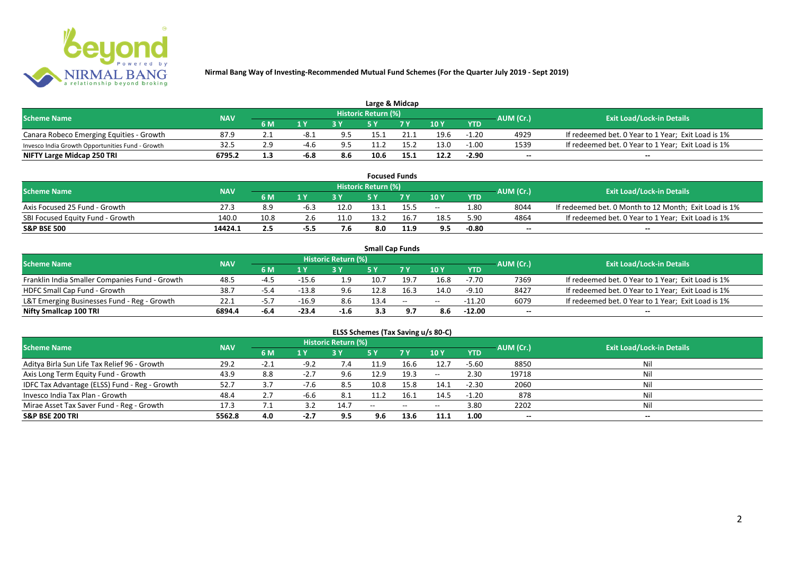

| Large & Midcap                                   |            |     |                         |                    |                            |      |      |            |           |                                                    |  |  |  |
|--------------------------------------------------|------------|-----|-------------------------|--------------------|----------------------------|------|------|------------|-----------|----------------------------------------------------|--|--|--|
| <b>Scheme Name</b>                               | <b>NAV</b> |     |                         |                    | <b>Historic Return (%)</b> |      |      |            | AUM (Cr.) | <b>Exit Load/Lock-in Details</b>                   |  |  |  |
|                                                  |            | 6 M | $\mathbf{A} \mathbf{V}$ |                    |                            | 7 V  | 10Y  | <b>YTD</b> |           |                                                    |  |  |  |
| Canara Robeco Emerging Equities - Growth         | 87.9       |     | -8.1                    | 9.5                | 15.1                       |      | 19.6 | $-1.20$    | 4929      | If redeemed bet. 0 Year to 1 Year; Exit Load is 1% |  |  |  |
| Invesco India Growth Opportunities Fund - Growth | 32.5       |     | $-4.6$                  | $Q$ $\overline{Q}$ | 11.2                       |      | 13.0 | $-1.00$    | 1539      | If redeemed bet. 0 Year to 1 Year; Exit Load is 1% |  |  |  |
| NIFTY Large Midcap 250 TRI                       | 6795.2     | 1.3 | -6.8                    | 8.6                | 10.6                       | 15.1 | 12.2 | $-2.90$    | $- -$     | $- -$                                              |  |  |  |

|                                  |            |      |      |             |                     | <b>Focused Funds</b> |       |            |           |                                                       |
|----------------------------------|------------|------|------|-------------|---------------------|----------------------|-------|------------|-----------|-------------------------------------------------------|
| <b>Scheme Name</b>               | <b>NAV</b> |      |      |             | Historic Return (%) |                      |       |            | AUM (Cr.) | <b>Exit Load/Lock-in Details</b>                      |
|                                  |            | 6 M  | 1 V  |             | cν                  | 7 V                  | 10 Y  | <b>YTD</b> |           |                                                       |
| Axis Focused 25 Fund - Growth    | 27.3       | 8.9  | -6.3 | 12.0        | 13.1                | 15.5                 | $- -$ | 1.80       | 8044      | If redeemed bet. 0 Month to 12 Month; Exit Load is 1% |
| SBI Focused Equity Fund - Growth | 140.0      | 10.8 |      | 11.0        | 13.2                | 16.                  | 18.5  | 5.90       | 4864      | If redeemed bet. 0 Year to 1 Year; Exit Load is 1%    |
| <b>S&amp;P BSE 500</b>           | 14424.1    |      | -5.5 | $ -$<br>7.6 | 8.0                 | 11.9                 | 9.5   | $-0.80$    | $- -$     | $- -$                                                 |

|                                                |            |      |         |                     | <b>Small Cap Funds</b> |                                                |       |            |           |                                                    |
|------------------------------------------------|------------|------|---------|---------------------|------------------------|------------------------------------------------|-------|------------|-----------|----------------------------------------------------|
| <b>Scheme Name</b>                             | <b>NAV</b> |      |         | Historic Return (%) |                        |                                                |       |            | AUM (Cr.) | <b>Exit Load/Lock-in Details</b>                   |
|                                                |            | 6 M  |         |                     |                        |                                                | 10Y   | <b>YTD</b> |           |                                                    |
| Franklin India Smaller Companies Fund - Growth | 48.5       | -4.5 | $-15.6$ |                     | 10.7                   | -19.7                                          | 16.8  | $-7.70$    | 7369      | If redeemed bet. 0 Year to 1 Year; Exit Load is 1% |
| HDFC Small Cap Fund - Growth                   | 38.7       | -5.4 | $-13.8$ | 9.6                 | 12.8                   | 16.3                                           | 14.0  | $-9.10$    | 8427      | If redeemed bet. 0 Year to 1 Year; Exit Load is 1% |
| L&T Emerging Businesses Fund - Reg - Growth    | 22.1       | -5., | $-16.9$ | 8.6                 | 13.4                   | $\hspace{0.1mm}-\hspace{0.1mm}-\hspace{0.1mm}$ | $- -$ | -11.20     | 6079      | If redeemed bet. 0 Year to 1 Year; Exit Load is 1% |
| Nifty Smallcap 100 TRI                         | 6894.4     | -6.4 | $-23.4$ | $-1.6$              | 3.3                    |                                                |       | $-12.00$   | $- -$     | --                                                 |

# **ELSS Schemes (Tax Saving u/s 80-C)**

| <b>Scheme Name</b>                            | <b>NAV</b> |            |            | <b>Historic Return (%)</b> |       |      |         |            | AUM (Cr.)                | <b>Exit Load/Lock-in Details</b> |
|-----------------------------------------------|------------|------------|------------|----------------------------|-------|------|---------|------------|--------------------------|----------------------------------|
|                                               |            | 6 M        | 1 Y        |                            | 5 Y   | 7Y   | 10Y     | <b>YTD</b> |                          |                                  |
| Aditya Birla Sun Life Tax Relief 96 - Growth  | 29.2       |            | $-9.2$     | 7.4                        | 11.9  | 16.6 | 12.7    | $-5.60$    | 8850                     | Nil                              |
| Axis Long Term Equity Fund - Growth           | 43.9       | 8.8        | $-2.7$     | 9.6                        | 12.9  | 19.3 | $-  \,$ | 2.30       | 19718                    |                                  |
| IDFC Tax Advantage (ELSS) Fund - Reg - Growth | 52.7       | 3.7        | $-7.6$     | 8.5                        | 10.8  | 15.8 | 14.1    | $-2.30$    | 2060                     |                                  |
| Invesco India Tax Plan - Growth               | 48.4       | 2.7        | $-6.6$     | -8.1                       | 11.2  | 16.1 | 14.5    | $-1.20$    | 878                      |                                  |
| Mirae Asset Tax Saver Fund - Reg - Growth     | 17.3       | $\sqrt{1}$ | <b>2</b> 2 | 14.7                       | $- -$ | --   | $- -$   | 3.80       | 2202                     |                                  |
| <b>S&amp;P BSE 200 TRI</b>                    | 5562.8     | 4.0        | $-2.7$     | 9.5                        | 9.6   | 13.6 | 11.1    | 1.00       | $\overline{\phantom{a}}$ | $\overline{\phantom{a}}$         |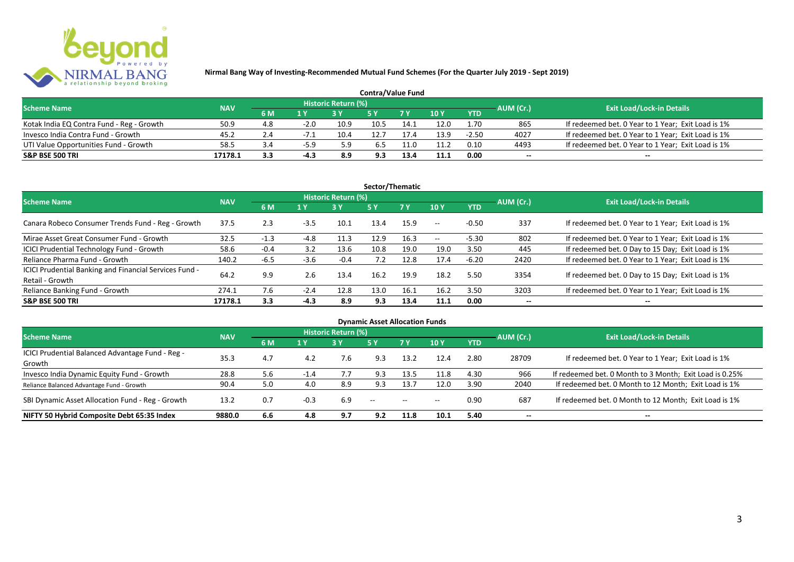

| <b>Contra/Value Fund</b>                  |            |           |        |                     |      |      |               |            |           |                                                    |  |  |  |
|-------------------------------------------|------------|-----------|--------|---------------------|------|------|---------------|------------|-----------|----------------------------------------------------|--|--|--|
| <b>Scheme Name</b>                        | <b>NAV</b> |           |        | Historic Return (%) |      |      |               |            | AUM (Cr.) | <b>Exit Load/Lock-in Details</b>                   |  |  |  |
|                                           |            | <b>6M</b> | 1 Y    |                     |      |      | $\sqrt{10}$ Y | <b>YTD</b> |           |                                                    |  |  |  |
| Kotak India EQ Contra Fund - Reg - Growth | 50.9       | 4.8       | $-2.0$ | 10.9                | 10.5 | 14.1 | 12.0          | 1.70       | 865       | If redeemed bet. 0 Year to 1 Year; Exit Load is 1% |  |  |  |
| Invesco India Contra Fund - Growth        | 45.2       | 2.4       |        | 10.4                |      |      | 13.9          | $-2.50$    | 4027      | If redeemed bet. 0 Year to 1 Year; Exit Load is 1% |  |  |  |
| UTI Value Opportunities Fund - Growth     | 58.5       | -3.4      | $-5.9$ | 5.9                 | 6.5  | .1.0 | 11.2          | 0.10       | 4493      | If redeemed bet. 0 Year to 1 Year; Exit Load is 1% |  |  |  |
| <b>S&amp;P BSE 500 TRI</b>                | 17178.1    | 3.3       | -4.3   | 8.9                 | 9.3  |      | 11.1          | 0.00       | --        | $- -$                                              |  |  |  |

| Sector/Thematic                                                           |            |        |        |                            |           |           |         |            |           |                                                    |  |  |  |
|---------------------------------------------------------------------------|------------|--------|--------|----------------------------|-----------|-----------|---------|------------|-----------|----------------------------------------------------|--|--|--|
| <b>Scheme Name</b>                                                        | <b>NAV</b> |        |        | <b>Historic Return (%)</b> |           |           |         |            | AUM (Cr.) | <b>Exit Load/Lock-in Details</b>                   |  |  |  |
|                                                                           |            | 6 M    | 1 Y    | 3Y                         | <b>5Y</b> | <b>7Y</b> | 10Y     | <b>YTD</b> |           |                                                    |  |  |  |
| Canara Robeco Consumer Trends Fund - Reg - Growth                         | 37.5       | 2.3    | $-3.5$ | 10.1                       | 13.4      | 15.9      | $- -$ . | $-0.50$    | 337       | If redeemed bet. 0 Year to 1 Year; Exit Load is 1% |  |  |  |
| Mirae Asset Great Consumer Fund - Growth                                  | 32.5       | -1.3   | $-4.8$ | 11.3                       | 12.9      | 16.3      | $- -$   | $-5.30$    | 802       | If redeemed bet. 0 Year to 1 Year; Exit Load is 1% |  |  |  |
| <b>ICICI Prudential Technology Fund - Growth</b>                          | 58.6       | $-0.4$ | 3.2    | 13.6                       | 10.8      | 19.0      | 19.0    | 3.50       | 445       | If redeemed bet. 0 Day to 15 Day; Exit Load is 1%  |  |  |  |
| Reliance Pharma Fund - Growth                                             | 140.2      | $-6.5$ | $-3.6$ | $-0.4$                     | 7.2       | 12.8      | 17.4    | $-6.20$    | 2420      | If redeemed bet. 0 Year to 1 Year; Exit Load is 1% |  |  |  |
| ICICI Prudential Banking and Financial Services Fund -<br>Retail - Growth | 64.2       | 9.9    | 2.6    | 13.4                       | 16.2      | 19.9      | 18.2    | 5.50       | 3354      | If redeemed bet. 0 Day to 15 Day; Exit Load is 1%  |  |  |  |
| Reliance Banking Fund - Growth                                            | 274.1      | 7.6    | $-2.4$ | 12.8                       | 13.0      | 16.1      | 16.2    | 3.50       | 3203      | If redeemed bet. 0 Year to 1 Year; Exit Load is 1% |  |  |  |
| <b>S&amp;P BSE 500 TRI</b>                                                | 17178.1    | 3.3    | $-4.3$ | 8.9                        | 9.3       | 13.4      | 11.1    | 0.00       |           | --                                                 |  |  |  |

| <b>Dynamic Asset Allocation Funds</b>                      |            |     |        |                            |            |                          |       |            |           |                                                         |  |  |  |
|------------------------------------------------------------|------------|-----|--------|----------------------------|------------|--------------------------|-------|------------|-----------|---------------------------------------------------------|--|--|--|
| <b>Scheme Name</b>                                         | <b>NAV</b> |     |        | <b>Historic Return (%)</b> |            |                          |       |            | AUM (Cr.) | <b>Exit Load/Lock-in Details</b>                        |  |  |  |
|                                                            |            | 6 M | 1Y     | <b>3Y</b>                  | <b>5 Y</b> | 7 Y                      | 10Y   | <b>YTD</b> |           |                                                         |  |  |  |
| ICICI Prudential Balanced Advantage Fund - Reg -<br>Growth | 35.3       | 4.7 | 4.2    | 7.6                        | 9.3        | 13.2                     | 12.4  | 2.80       | 28709     | If redeemed bet. 0 Year to 1 Year; Exit Load is 1%      |  |  |  |
| Invesco India Dynamic Equity Fund - Growth                 | 28.8       | 5.6 | $-1.4$ | 7.7                        | 9.3        | 13.5                     | 11.8  | 4.30       | 966       | If redeemed bet. 0 Month to 3 Month; Exit Load is 0.25% |  |  |  |
| Reliance Balanced Advantage Fund - Growth                  | 90.4       | 5.0 | 4.0    | 8.9                        | 9.3        | 13.7                     | 12.0  | 3.90       | 2040      | If redeemed bet. 0 Month to 12 Month; Exit Load is 1%   |  |  |  |
| SBI Dynamic Asset Allocation Fund - Reg - Growth           | 13.2       | 0.7 | $-0.3$ | 6.9                        | $- -$      | $\overline{\phantom{m}}$ | $- -$ | 0.90       | 687       | If redeemed bet. 0 Month to 12 Month; Exit Load is 1%   |  |  |  |
| NIFTY 50 Hybrid Composite Debt 65:35 Index                 | 9880.0     | 6.6 | 4.8    | 9.7                        | 9.2        | 11.8                     | 10.1  | 5.40       | --        | $- -$                                                   |  |  |  |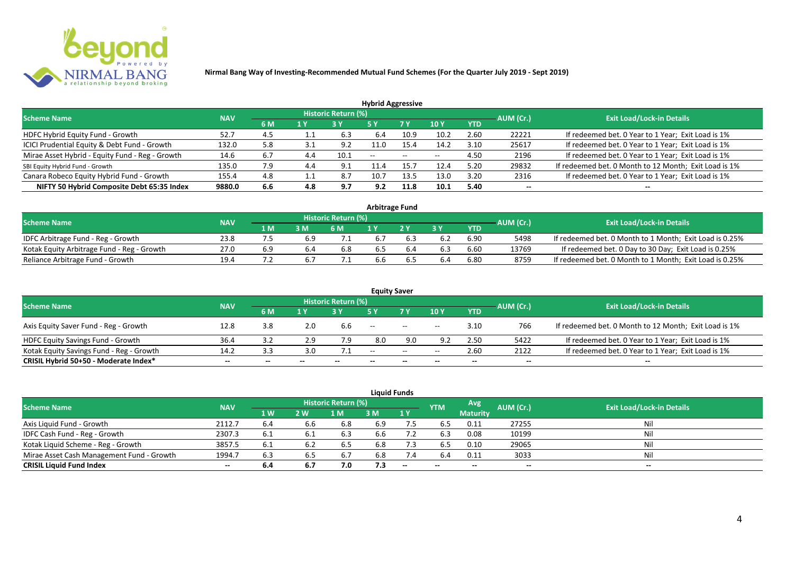

| <b>Hybrid Aggressive</b>                        |            |     |              |                     |       |                          |       |            |           |                                                       |  |  |  |
|-------------------------------------------------|------------|-----|--------------|---------------------|-------|--------------------------|-------|------------|-----------|-------------------------------------------------------|--|--|--|
| <b>Scheme Name</b>                              | <b>NAV</b> |     |              | Historic Return (%) |       |                          |       |            | AUM (Cr.) | <b>Exit Load/Lock-in Details</b>                      |  |  |  |
|                                                 |            | 6 M | $\sqrt{4}$ Y |                     | '5 Y  | 7 Y                      | 10Y   | <b>YTD</b> |           |                                                       |  |  |  |
| HDFC Hybrid Equity Fund - Growth                | 52.7       | 4.5 |              | 6.3                 | 6.4   | 10.9                     | 10.2  | 2.60       | 22221     | If redeemed bet. 0 Year to 1 Year; Exit Load is 1%    |  |  |  |
| ICICI Prudential Equity & Debt Fund - Growth    | 132.0      | 5.8 |              | 9.2                 | 11.0  | 15.4                     | 14.2  | 3.10       | 25617     | If redeemed bet. 0 Year to 1 Year; Exit Load is 1%    |  |  |  |
| Mirae Asset Hybrid - Equity Fund - Reg - Growth | 14.6       | 6.7 |              | 10.1                | $- -$ | $\overline{\phantom{m}}$ | $- -$ | 4.50       | 2196      | If redeemed bet. 0 Year to 1 Year; Exit Load is 1%    |  |  |  |
| SBI Equity Hybrid Fund - Growth                 | 135.0      | 7.9 |              | ۹                   |       |                          | 12.4  | 5.20       | 29832     | If redeemed bet. 0 Month to 12 Month; Exit Load is 1% |  |  |  |
| Canara Robeco Equity Hybrid Fund - Growth       | 155.4      | 4.8 |              | 8.7                 | 10.7  | 13.5                     | 13.0  | 3.20       | 2316      | If redeemed bet. 0 Year to 1 Year; Exit Load is 1%    |  |  |  |
| NIFTY 50 Hybrid Composite Debt 65:35 Index      | 9880.0     | 6.6 | 4.8          | 9.7                 | 9.2   | 11.8                     | 10.1  | 5.40       | $- -$     | $- -$                                                 |  |  |  |

| <b>Arbitrage Fund</b>                      |            |     |     |                            |     |  |     |      |           |                                                         |  |  |  |
|--------------------------------------------|------------|-----|-----|----------------------------|-----|--|-----|------|-----------|---------------------------------------------------------|--|--|--|
| <b>Scheme Name</b>                         | <b>NAV</b> |     |     | <b>Historic Return (%)</b> |     |  |     |      | AUM (Cr.) | <b>Exit Load/Lock-in Details</b>                        |  |  |  |
|                                            |            | 1 M | 3 M | 6 M                        |     |  | 2 V | YTD  |           |                                                         |  |  |  |
| IDFC Arbitrage Fund - Reg - Growth         | 23.8       |     |     |                            | 6.7 |  |     | 6.90 | 5498      | If redeemed bet. 0 Month to 1 Month; Exit Load is 0.25% |  |  |  |
| Kotak Equity Arbitrage Fund - Reg - Growth | 27.0       | 6.9 |     | 6.8                        | 6.5 |  |     | 6.60 | 13769     | If redeemed bet. 0 Day to 30 Day; Exit Load is 0.25%    |  |  |  |
| Reliance Arbitrage Fund - Growth           | 19.4       |     |     |                            | 6.6 |  | 6.4 | 6.80 | 8759      | If redeemed bet. 0 Month to 1 Month; Exit Load is 0.25% |  |  |  |

|                                          |            |           |       |                     | <b>Equity Saver</b>      |                |       |            |                          |                                                       |
|------------------------------------------|------------|-----------|-------|---------------------|--------------------------|----------------|-------|------------|--------------------------|-------------------------------------------------------|
| <b>Scheme Name</b>                       | <b>NAV</b> |           |       | Historic Return (%) |                          |                |       |            | AUM (Cr.)                | <b>Exit Load/Lock-in Details</b>                      |
|                                          |            | <b>6M</b> | 1 V   |                     |                          | 7 <sub>V</sub> | 10Y   | <b>YTD</b> |                          |                                                       |
| Axis Equity Saver Fund - Reg - Growth    | 12.8       | 3.8       | 2.0   | 6.6                 | $\overline{\phantom{a}}$ | $- -$          | $- -$ | 3.10       | 766                      | If redeemed bet. 0 Month to 12 Month; Exit Load is 1% |
| HDFC Equity Savings Fund - Growth        | 36.4       |           | 2.9   | 7.9                 | 8.0                      | 9.0            | 92    | 2.50       | 5422                     | If redeemed bet. 0 Year to 1 Year; Exit Load is 1%    |
| Kotak Equity Savings Fund - Reg - Growth | 14.2       | 3.3       | 3.0   |                     | $\sim$ $\sim$            | $\sim$         | $- -$ | 2.60       | 2122                     | If redeemed bet. 0 Year to 1 Year; Exit Load is 1%    |
| CRISIL Hybrid 50+50 - Moderate Index*    | $- -$      |           | $- -$ |                     | $- -$                    | $- -$          |       | --         | $\overline{\phantom{a}}$ | $- -$                                                 |

|                                           |            |           |     |                     |     | <b>Liquid Funds</b> |            |                 |           |                                  |
|-------------------------------------------|------------|-----------|-----|---------------------|-----|---------------------|------------|-----------------|-----------|----------------------------------|
| <b>Scheme Name</b>                        | <b>NAV</b> |           |     | Historic Return (%) |     |                     | <b>YTM</b> | Avg             | AUM (Cr.) | <b>Exit Load/Lock-in Details</b> |
|                                           |            | <b>1W</b> | 2 W | M                   | 3 M | 1Y                  |            | <b>Maturity</b> |           |                                  |
| Axis Liquid Fund - Growth                 | 2112.7     | 6.4       | 6.6 | 6.8                 | 6.9 | 7.5                 | 6.5        | 0.11            | 27255     | Nil                              |
| IDFC Cash Fund - Reg - Growth             | 2307.3     | 6.1       |     | 6.3                 | 6.6 |                     | 6.3        | 0.08            | 10199     | Nil                              |
| Kotak Liquid Scheme - Reg - Growth        | 3857.5     | 6.1       | 6.2 | 6.5                 | 6.8 | 7.3                 | 6.5        | 0.10            | 29065     | Nil                              |
| Mirae Asset Cash Management Fund - Growth | 1994.7     | 6.3       | 6.5 | 6.7                 | 6.8 | 7.4                 | 6.4        | 0.11            | 3033      | Nil                              |
| <b>CRISIL Liquid Fund Index</b>           | $- -$      | 6.4       | 6.7 | 7.0                 | 7.3 | $-$                 | $- -$      | $- -$           | $- -$     | $- -$                            |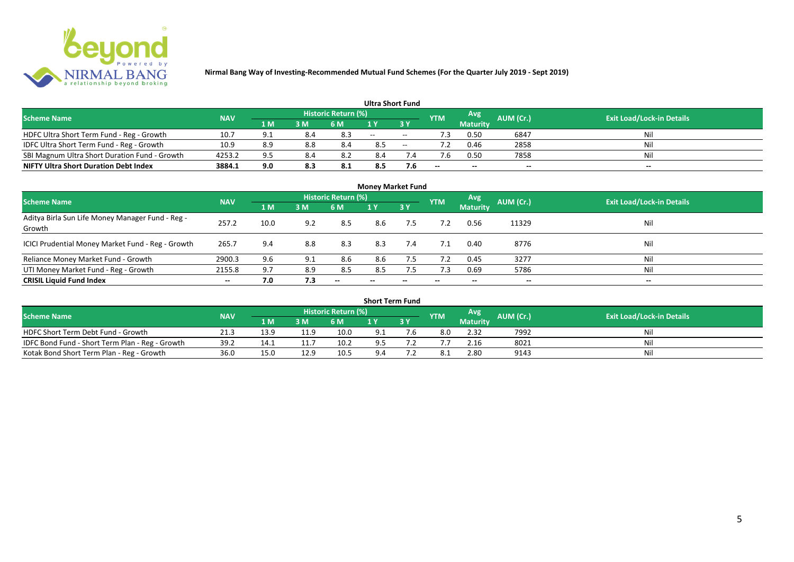

|                                               |            |     |     |                            | <b>Ultra Short Fund</b> |       |            |                 |           |                                  |
|-----------------------------------------------|------------|-----|-----|----------------------------|-------------------------|-------|------------|-----------------|-----------|----------------------------------|
| <b>Scheme Name</b>                            | <b>NAV</b> |     |     | <b>Historic Return (%)</b> |                         |       | <b>YTM</b> | Avg             | AUM (Cr.) | <b>Exit Load/Lock-in Details</b> |
|                                               |            | 1 M | 3 M | 6 M                        |                         | 3 Y   |            | <b>Maturity</b> |           |                                  |
| HDFC Ultra Short Term Fund - Reg - Growth     | 10.7       | 9.1 | 8.4 | 8.3                        | $- -$                   | $- -$ |            | 0.50            | 6847      | Nil                              |
| IDFC Ultra Short Term Fund - Reg - Growth     | 10.9       | 8.9 | 8.8 | 8.4                        | 8.5                     | $- -$ | 7.2        | 0.46            | 2858      | Nil                              |
| SBI Magnum Ultra Short Duration Fund - Growth | 4253.2     | 9.5 | 8.4 | 8.2                        | 8.4                     |       |            | 0.50            | 7858      | Nil                              |
| <b>NIFTY Ultra Short Duration Debt Index</b>  | 3884.1     | 9.0 | 8.3 | 8.1                        | 8.5                     | 7.6   | $- -$      | $- -$           | $- -$     | $- -$                            |

| <b>Money Market Fund</b>                                   |            |      |     |                     |                          |            |            |                 |           |                                  |  |  |  |  |
|------------------------------------------------------------|------------|------|-----|---------------------|--------------------------|------------|------------|-----------------|-----------|----------------------------------|--|--|--|--|
| <b>Scheme Name</b>                                         | <b>NAV</b> |      |     | Historic Return (%) |                          |            | <b>YTM</b> | Avg             | AUM (Cr.) | <b>Exit Load/Lock-in Details</b> |  |  |  |  |
|                                                            |            | 1 M  | 3M  | <b>6 M</b>          | 1Y                       | <b>73Y</b> |            | <b>Maturity</b> |           |                                  |  |  |  |  |
| Aditya Birla Sun Life Money Manager Fund - Reg -<br>Growth | 257.2      | 10.0 | 9.2 | 8.5                 | 8.6                      | 7.5        |            | 0.56            | 11329     | Nil                              |  |  |  |  |
| ICICI Prudential Money Market Fund - Reg - Growth          | 265.7      | 9.4  | 8.8 | 8.3                 | 8.3                      | 7.4        | 7.1        | 0.40            | 8776      | Nil                              |  |  |  |  |
| Reliance Money Market Fund - Growth                        | 2900.3     | 9.6  | 9.1 | 8.6                 | 8.6                      | 7.5        | 7.2        | 0.45            | 3277      | Nil                              |  |  |  |  |
| UTI Money Market Fund - Reg - Growth                       | 2155.8     | 9.7  | 8.9 | 8.5                 | 8.5                      | 7.5        | 7.3        | 0.69            | 5786      | Nil                              |  |  |  |  |
| <b>CRISIL Liquid Fund Index</b>                            | $- -$      | 7.0  | 7.3 | $- -$               | $\overline{\phantom{a}}$ | --         | $- -$      | $- -$           | $- -$     | $\overline{\phantom{a}}$         |  |  |  |  |

| <b>Short Term Fund</b>                          |            |      |      |                            |     |    |            |                 |           |                                  |  |  |  |  |
|-------------------------------------------------|------------|------|------|----------------------------|-----|----|------------|-----------------|-----------|----------------------------------|--|--|--|--|
| <b>Scheme Name</b>                              | <b>NAV</b> |      |      | <b>Historic Return (%)</b> |     |    | <b>YTM</b> | Avg             | AUM (Cr.) | <b>Exit Load/Lock-in Details</b> |  |  |  |  |
|                                                 |            | 1 M  | 3M   | 6 M                        |     | 3Y |            | <b>Maturity</b> |           |                                  |  |  |  |  |
| HDFC Short Term Debt Fund - Growth              | 21.3       | 13.9 | 11.9 | 10.0                       | 9.1 |    | 8.0        | 2.32            | 7992      | Nil                              |  |  |  |  |
| IDFC Bond Fund - Short Term Plan - Reg - Growth | 39.2       | 14.1 |      | 10.2                       | 9.5 |    |            | 2.16            | 8021      | Nil                              |  |  |  |  |
| Kotak Bond Short Term Plan - Reg - Growth       | 36.0       | 15.0 | 12.9 | 10.5                       | 9.4 |    |            | 2.80            | 9143      | Nil                              |  |  |  |  |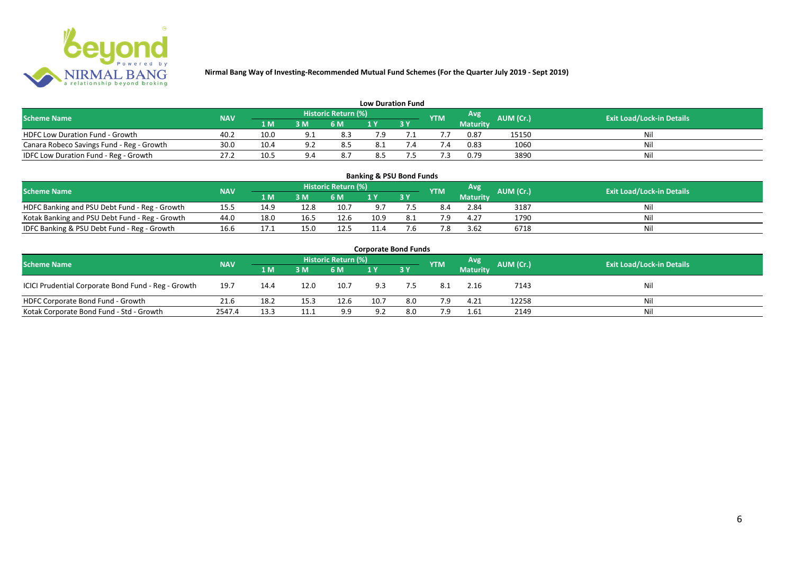

| <b>Low Duration Fund</b>                  |            |      |     |                            |     |  |               |          |           |                                  |  |  |  |  |
|-------------------------------------------|------------|------|-----|----------------------------|-----|--|---------------|----------|-----------|----------------------------------|--|--|--|--|
| <b>Scheme Name</b>                        | <b>NAV</b> |      |     | <b>Historic Return (%)</b> |     |  | <b>YTM</b>    | Avg      | AUM (Cr.) | <b>Exit Load/Lock-in Details</b> |  |  |  |  |
|                                           |            | 1 M  | 3 M | 6 M                        | 1 Y |  |               | Maturity |           |                                  |  |  |  |  |
| <b>HDFC Low Duration Fund - Growth</b>    | 40.2       | 10.0 | ດ 1 | 8.3                        | 7.9 |  |               | 0.87     | 15150     | Nil                              |  |  |  |  |
| Canara Robeco Savings Fund - Reg - Growth | 30.0       | 10.4 | ົດ. | 8.5                        | 8.1 |  | $^{\prime}.4$ | 0.83     | 1060      | Nil                              |  |  |  |  |
| IDFC Low Duration Fund - Reg - Growth     | 27.2       | 10.5 |     | 8.7                        | 8.5 |  |               | 0.79     | 3890      | Nil                              |  |  |  |  |

| <b>Banking &amp; PSU Bond Funds</b>                                                                                                                |      |                 |      |      |      |            |     |                 |      |    |  |  |  |  |
|----------------------------------------------------------------------------------------------------------------------------------------------------|------|-----------------|------|------|------|------------|-----|-----------------|------|----|--|--|--|--|
| <b>Historic Return (%)</b><br><b>Avg</b><br><b>AUM (Cr.)</b><br><b>Exit Load/Lock-in Details</b><br><b>NAV</b><br><b>Scheme Name</b><br><b>YTM</b> |      |                 |      |      |      |            |     |                 |      |    |  |  |  |  |
|                                                                                                                                                    |      | 1 M             | 3 M  | 6 M  |      | <b>3 Y</b> |     | <b>Maturity</b> |      |    |  |  |  |  |
| HDFC Banking and PSU Debt Fund - Reg - Growth                                                                                                      | 15.5 | 14 <sup>c</sup> | 12.8 | 10.7 | 9.7  |            |     | 2.84            | 3187 | Ni |  |  |  |  |
| Kotak Banking and PSU Debt Fund - Reg - Growth                                                                                                     | 44.0 | 18.0            | 16.5 | 12.6 | 10.9 |            | 7.9 | 4.27            | 1790 |    |  |  |  |  |
| IDFC Banking & PSU Debt Fund - Reg - Growth                                                                                                        | 16.6 | 17.1            |      | 12.5 | 11.4 |            | 7.8 | 3.62            | 6718 | Ni |  |  |  |  |

| <b>Corporate Bond Funds</b>                         |                                  |      |      |      |      |           |            |                 |           |     |  |  |  |  |
|-----------------------------------------------------|----------------------------------|------|------|------|------|-----------|------------|-----------------|-----------|-----|--|--|--|--|
| <b>Scheme Name</b>                                  | <b>Exit Load/Lock-in Details</b> |      |      |      |      |           |            |                 |           |     |  |  |  |  |
|                                                     | <b>NAV</b>                       | 1 M  | 3 M  | 6 M  |      | <b>3Y</b> | <b>YTM</b> | <b>Maturity</b> | AUM (Cr.) |     |  |  |  |  |
| ICICI Prudential Corporate Bond Fund - Reg - Growth | 19.7                             | 14.4 | 12.0 | 10.7 | 9.3  | 7.5       | 8.1        | 2.16            | 7143      | Nil |  |  |  |  |
| HDFC Corporate Bond Fund - Growth                   | 21.6                             | 18.2 | 15.3 | 12.6 | 10.7 | 8.0       | 7.9        | 4.21            | 12258     | Nil |  |  |  |  |
| Kotak Corporate Bond Fund - Std - Growth            | 2547.4                           | 13.3 |      | 9.9  | 9.2  | 8.0       | 7.9        | 1.61            | 2149      | Nil |  |  |  |  |